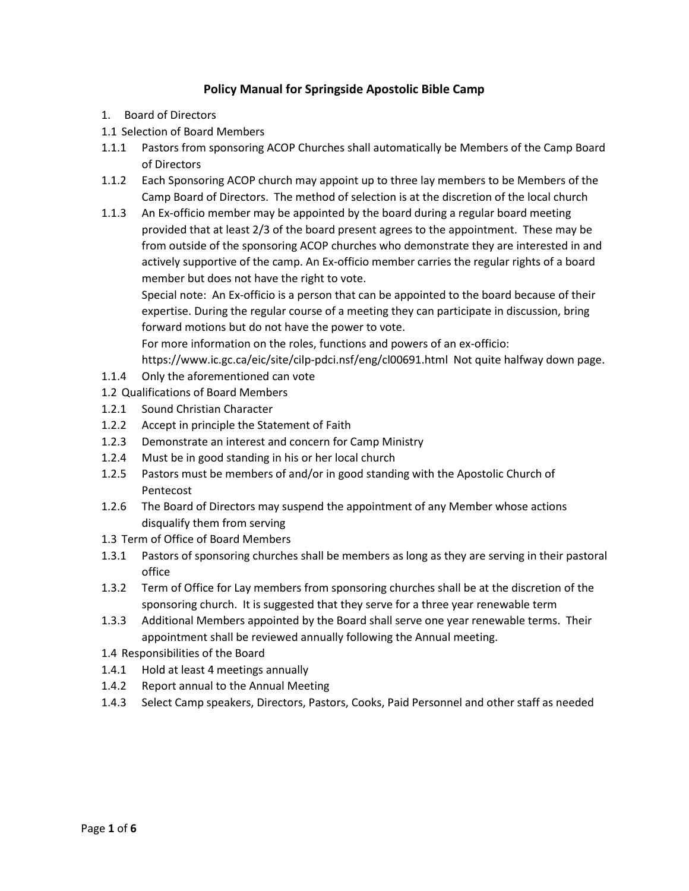# **Policy Manual for Springside Apostolic Bible Camp**

- 1. Board of Directors
- 1.1 Selection of Board Members
- 1.1.1 Pastors from sponsoring ACOP Churches shall automatically be Members of the Camp Board of Directors
- 1.1.2 Each Sponsoring ACOP church may appoint up to three lay members to be Members of the Camp Board of Directors. The method of selection is at the discretion of the local church
- 1.1.3 An Ex-officio member may be appointed by the board during a regular board meeting provided that at least 2/3 of the board present agrees to the appointment. These may be from outside of the sponsoring ACOP churches who demonstrate they are interested in and actively supportive of the camp. An Ex-officio member carries the regular rights of a board member but does not have the right to vote.

Special note: An Ex-officio is a person that can be appointed to the board because of their expertise. During the regular course of a meeting they can participate in discussion, bring forward motions but do not have the power to vote.

For more information on the roles, functions and powers of an ex-officio:

https://www.ic.gc.ca/eic/site/cilp-pdci.nsf/eng/cl00691.html Not quite halfway down page.

- 1.1.4 Only the aforementioned can vote
- 1.2 Qualifications of Board Members
- 1.2.1 Sound Christian Character
- 1.2.2 Accept in principle the Statement of Faith
- 1.2.3 Demonstrate an interest and concern for Camp Ministry
- 1.2.4 Must be in good standing in his or her local church
- 1.2.5 Pastors must be members of and/or in good standing with the Apostolic Church of Pentecost
- 1.2.6 The Board of Directors may suspend the appointment of any Member whose actions disqualify them from serving
- 1.3 Term of Office of Board Members
- 1.3.1 Pastors of sponsoring churches shall be members as long as they are serving in their pastoral office
- 1.3.2 Term of Office for Lay members from sponsoring churches shall be at the discretion of the sponsoring church. It is suggested that they serve for a three year renewable term
- 1.3.3 Additional Members appointed by the Board shall serve one year renewable terms. Their appointment shall be reviewed annually following the Annual meeting.
- 1.4 Responsibilities of the Board
- 1.4.1 Hold at least 4 meetings annually
- 1.4.2 Report annual to the Annual Meeting
- 1.4.3 Select Camp speakers, Directors, Pastors, Cooks, Paid Personnel and other staff as needed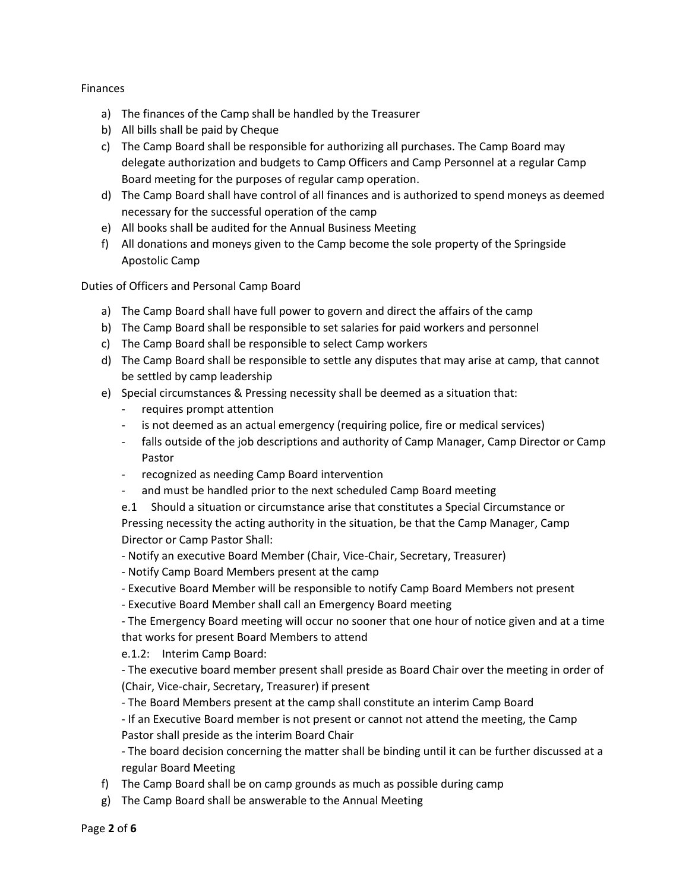## Finances

- a) The finances of the Camp shall be handled by the Treasurer
- b) All bills shall be paid by Cheque
- c) The Camp Board shall be responsible for authorizing all purchases. The Camp Board may delegate authorization and budgets to Camp Officers and Camp Personnel at a regular Camp Board meeting for the purposes of regular camp operation.
- d) The Camp Board shall have control of all finances and is authorized to spend moneys as deemed necessary for the successful operation of the camp
- e) All books shall be audited for the Annual Business Meeting
- f) All donations and moneys given to the Camp become the sole property of the Springside Apostolic Camp

Duties of Officers and Personal Camp Board

- a) The Camp Board shall have full power to govern and direct the affairs of the camp
- b) The Camp Board shall be responsible to set salaries for paid workers and personnel
- c) The Camp Board shall be responsible to select Camp workers
- d) The Camp Board shall be responsible to settle any disputes that may arise at camp, that cannot be settled by camp leadership
- e) Special circumstances & Pressing necessity shall be deemed as a situation that:
	- requires prompt attention
	- is not deemed as an actual emergency (requiring police, fire or medical services)
	- falls outside of the job descriptions and authority of Camp Manager, Camp Director or Camp Pastor
	- recognized as needing Camp Board intervention
	- and must be handled prior to the next scheduled Camp Board meeting

e.1 Should a situation or circumstance arise that constitutes a Special Circumstance or Pressing necessity the acting authority in the situation, be that the Camp Manager, Camp Director or Camp Pastor Shall:

- Notify an executive Board Member (Chair, Vice-Chair, Secretary, Treasurer)
- Notify Camp Board Members present at the camp
- Executive Board Member will be responsible to notify Camp Board Members not present
- Executive Board Member shall call an Emergency Board meeting

- The Emergency Board meeting will occur no sooner that one hour of notice given and at a time that works for present Board Members to attend

e.1.2: Interim Camp Board:

- The executive board member present shall preside as Board Chair over the meeting in order of (Chair, Vice-chair, Secretary, Treasurer) if present

- The Board Members present at the camp shall constitute an interim Camp Board

- If an Executive Board member is not present or cannot not attend the meeting, the Camp Pastor shall preside as the interim Board Chair

- The board decision concerning the matter shall be binding until it can be further discussed at a regular Board Meeting

- f) The Camp Board shall be on camp grounds as much as possible during camp
- g) The Camp Board shall be answerable to the Annual Meeting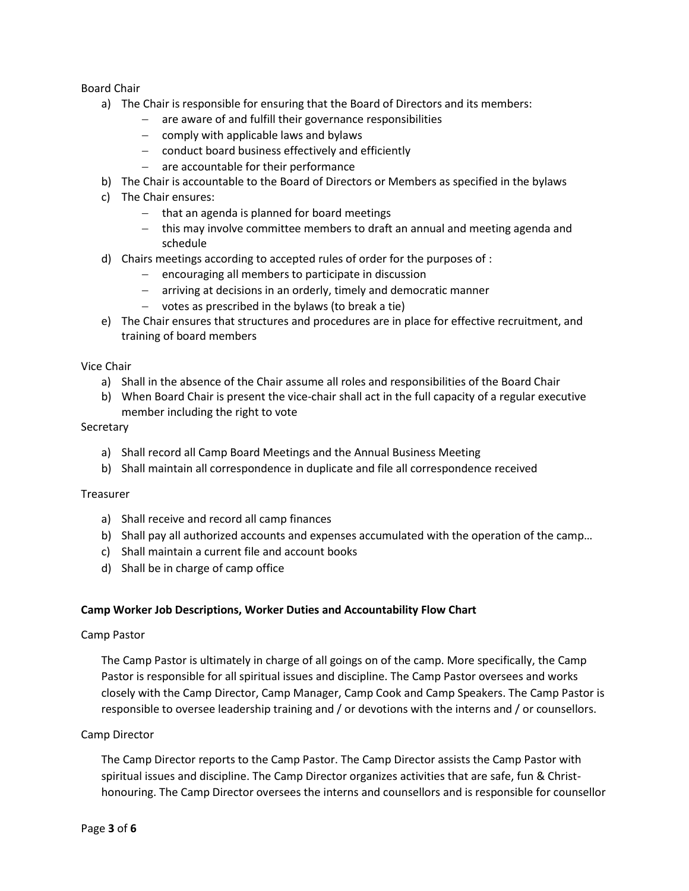Board Chair

- a) The Chair is responsible for ensuring that the Board of Directors and its members:
	- are aware of and fulfill their governance responsibilities
	- $-$  comply with applicable laws and bylaws
	- $\overline{-}$  conduct board business effectively and efficiently
	- $-$  are accountable for their performance
- b) The Chair is accountable to the Board of Directors or Members as specified in the bylaws
- c) The Chair ensures:
	- $-$  that an agenda is planned for board meetings
	- this may involve committee members to draft an annual and meeting agenda and schedule
- d) Chairs meetings according to accepted rules of order for the purposes of :
	- $-$  encouraging all members to participate in discussion
	- arriving at decisions in an orderly, timely and democratic manner
	- $-$  votes as prescribed in the bylaws (to break a tie)
- e) The Chair ensures that structures and procedures are in place for effective recruitment, and training of board members

## Vice Chair

- a) Shall in the absence of the Chair assume all roles and responsibilities of the Board Chair
- b) When Board Chair is present the vice-chair shall act in the full capacity of a regular executive member including the right to vote

### Secretary

- a) Shall record all Camp Board Meetings and the Annual Business Meeting
- b) Shall maintain all correspondence in duplicate and file all correspondence received

## **Treasurer**

- a) Shall receive and record all camp finances
- b) Shall pay all authorized accounts and expenses accumulated with the operation of the camp…
- c) Shall maintain a current file and account books
- d) Shall be in charge of camp office

## **Camp Worker Job Descriptions, Worker Duties and Accountability Flow Chart**

### Camp Pastor

The Camp Pastor is ultimately in charge of all goings on of the camp. More specifically, the Camp Pastor is responsible for all spiritual issues and discipline. The Camp Pastor oversees and works closely with the Camp Director, Camp Manager, Camp Cook and Camp Speakers. The Camp Pastor is responsible to oversee leadership training and / or devotions with the interns and / or counsellors.

## Camp Director

The Camp Director reports to the Camp Pastor. The Camp Director assists the Camp Pastor with spiritual issues and discipline. The Camp Director organizes activities that are safe, fun & Christhonouring. The Camp Director oversees the interns and counsellors and is responsible for counsellor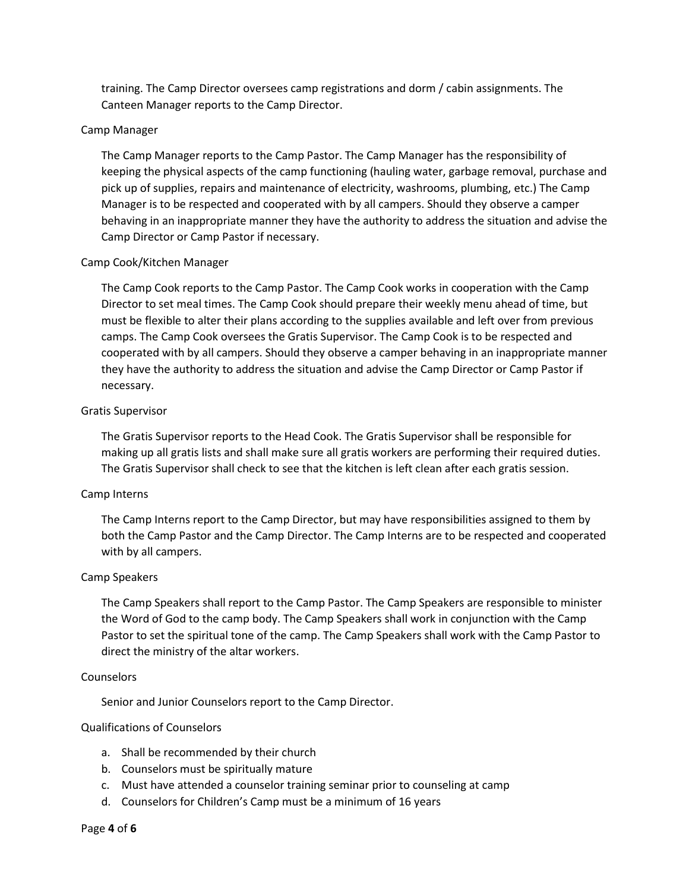training. The Camp Director oversees camp registrations and dorm / cabin assignments. The Canteen Manager reports to the Camp Director.

### Camp Manager

The Camp Manager reports to the Camp Pastor. The Camp Manager has the responsibility of keeping the physical aspects of the camp functioning (hauling water, garbage removal, purchase and pick up of supplies, repairs and maintenance of electricity, washrooms, plumbing, etc.) The Camp Manager is to be respected and cooperated with by all campers. Should they observe a camper behaving in an inappropriate manner they have the authority to address the situation and advise the Camp Director or Camp Pastor if necessary.

### Camp Cook/Kitchen Manager

The Camp Cook reports to the Camp Pastor. The Camp Cook works in cooperation with the Camp Director to set meal times. The Camp Cook should prepare their weekly menu ahead of time, but must be flexible to alter their plans according to the supplies available and left over from previous camps. The Camp Cook oversees the Gratis Supervisor. The Camp Cook is to be respected and cooperated with by all campers. Should they observe a camper behaving in an inappropriate manner they have the authority to address the situation and advise the Camp Director or Camp Pastor if necessary.

### Gratis Supervisor

The Gratis Supervisor reports to the Head Cook. The Gratis Supervisor shall be responsible for making up all gratis lists and shall make sure all gratis workers are performing their required duties. The Gratis Supervisor shall check to see that the kitchen is left clean after each gratis session.

### Camp Interns

The Camp Interns report to the Camp Director, but may have responsibilities assigned to them by both the Camp Pastor and the Camp Director. The Camp Interns are to be respected and cooperated with by all campers.

### Camp Speakers

The Camp Speakers shall report to the Camp Pastor. The Camp Speakers are responsible to minister the Word of God to the camp body. The Camp Speakers shall work in conjunction with the Camp Pastor to set the spiritual tone of the camp. The Camp Speakers shall work with the Camp Pastor to direct the ministry of the altar workers.

### **Counselors**

Senior and Junior Counselors report to the Camp Director.

## Qualifications of Counselors

- a. Shall be recommended by their church
- b. Counselors must be spiritually mature
- c. Must have attended a counselor training seminar prior to counseling at camp
- d. Counselors for Children's Camp must be a minimum of 16 years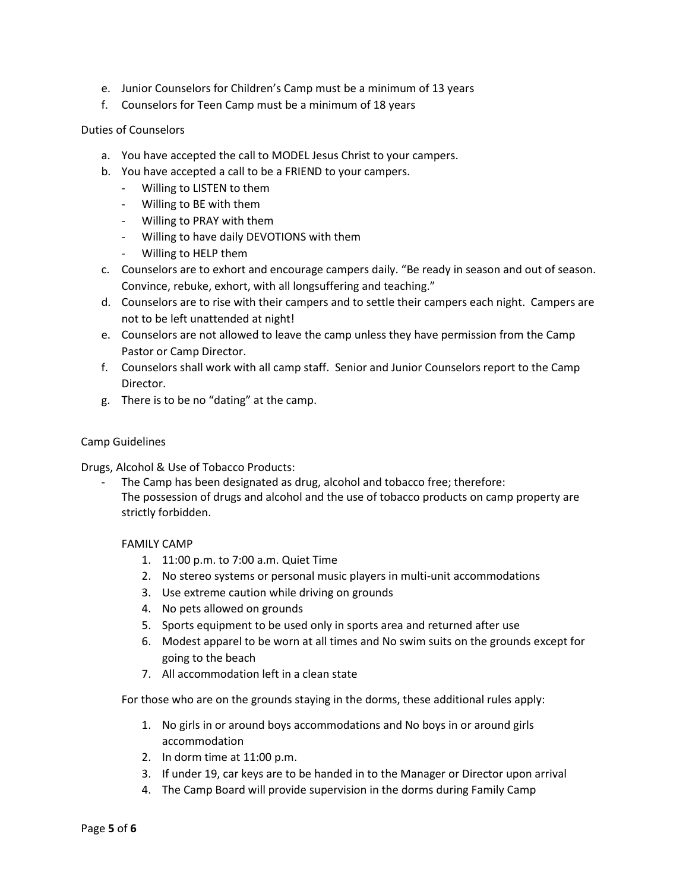- e. Junior Counselors for Children's Camp must be a minimum of 13 years
- f. Counselors for Teen Camp must be a minimum of 18 years

## Duties of Counselors

- a. You have accepted the call to MODEL Jesus Christ to your campers.
- b. You have accepted a call to be a FRIEND to your campers.
	- Willing to LISTEN to them
	- Willing to BE with them
	- Willing to PRAY with them
	- Willing to have daily DEVOTIONS with them
	- Willing to HELP them
- c. Counselors are to exhort and encourage campers daily. "Be ready in season and out of season. Convince, rebuke, exhort, with all longsuffering and teaching."
- d. Counselors are to rise with their campers and to settle their campers each night. Campers are not to be left unattended at night!
- e. Counselors are not allowed to leave the camp unless they have permission from the Camp Pastor or Camp Director.
- f. Counselors shall work with all camp staff. Senior and Junior Counselors report to the Camp Director.
- g. There is to be no "dating" at the camp.

### Camp Guidelines

Drugs, Alcohol & Use of Tobacco Products:

The Camp has been designated as drug, alcohol and tobacco free; therefore: The possession of drugs and alcohol and the use of tobacco products on camp property are strictly forbidden.

### FAMILY CAMP

- 1. 11:00 p.m. to 7:00 a.m. Quiet Time
- 2. No stereo systems or personal music players in multi-unit accommodations
- 3. Use extreme caution while driving on grounds
- 4. No pets allowed on grounds
- 5. Sports equipment to be used only in sports area and returned after use
- 6. Modest apparel to be worn at all times and No swim suits on the grounds except for going to the beach
- 7. All accommodation left in a clean state

For those who are on the grounds staying in the dorms, these additional rules apply:

- 1. No girls in or around boys accommodations and No boys in or around girls accommodation
- 2. In dorm time at 11:00 p.m.
- 3. If under 19, car keys are to be handed in to the Manager or Director upon arrival
- 4. The Camp Board will provide supervision in the dorms during Family Camp